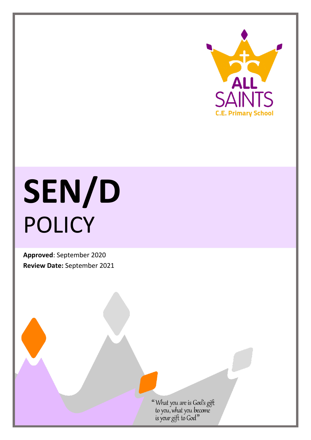

# **SEN/D** POLICY

**Approved**: September 2020 **Review Date:** September 2021

"What you are is God's gift<br>to you, what you become<br>is your gift to God"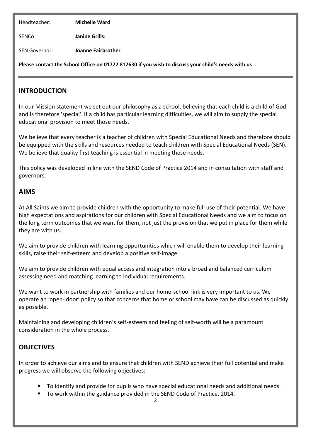Headteacher: **Michelle Ward**

SENCo: **Janine Grills:** 

SEN Governor: **Joanne Fairbrother**

**Please contact the School Office on 01772 812630 if you wish to discuss your child's needs with us**

#### **INTRODUCTION**

In our Mission statement we set out our philosophy as a school, believing that each child is a child of God and is therefore 'special'. If a child has particular learning difficulties, we will aim to supply the special educational provision to meet those needs.

We believe that every teacher is a teacher of children with Special Educational Needs and therefore should be equipped with the skills and resources needed to teach children with Special Educational Needs (SEN). We believe that quality first teaching is essential in meeting these needs.

This policy was developed in line with the SEND Code of Practice 2014 and in consultation with staff and governors.

#### **AIMS**

At All Saints we aim to provide children with the opportunity to make full use of their potential. We have high expectations and aspirations for our children with Special Educational Needs and we aim to focus on the long term outcomes that we want for them, not just the provision that we put in place for them while they are with us.

We aim to provide children with learning opportunities which will enable them to develop their learning skills, raise their self-esteem and develop a positive self-image.

We aim to provide children with equal access and integration into a broad and balanced curriculum assessing need and matching learning to individual requirements.

We want to work in partnership with families and our home-school link is very important to us. We operate an 'open- door' policy so that concerns that home or school may have can be discussed as quickly as possible.

Maintaining and developing children's self-esteem and feeling of self-worth will be a paramount consideration in the whole process.

#### **OBJECTIVES**

In order to achieve our aims and to ensure that children with SEND achieve their full potential and make progress we will observe the following objectives:

- To identify and provide for pupils who have special educational needs and additional needs.
- To work within the guidance provided in the SEND Code of Practice, 2014.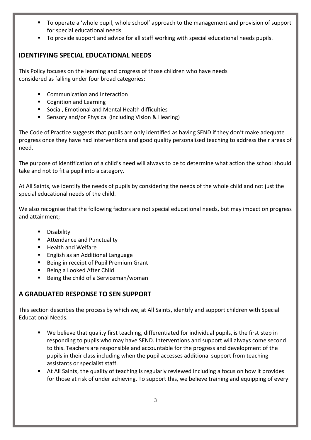- To operate a 'whole pupil, whole school' approach to the management and provision of support for special educational needs.
- To provide support and advice for all staff working with special educational needs pupils.

## **IDENTIFYING SPECIAL EDUCATIONAL NEEDS**

This Policy focuses on the learning and progress of those children who have needs considered as falling under four broad categories:

- **EXECOMMUNICATION AND INTERACTION**
- Cognition and Learning
- Social, Emotional and Mental Health difficulties
- Sensory and/or Physical (including Vision & Hearing)

The Code of Practice suggests that pupils are only identified as having SEND if they don't make adequate progress once they have had interventions and good quality personalised teaching to address their areas of need.

The purpose of identification of a child's need will always to be to determine what action the school should take and not to fit a pupil into a category.

At All Saints, we identify the needs of pupils by considering the needs of the whole child and not just the special educational needs of the child.

We also recognise that the following factors are not special educational needs, but may impact on progress and attainment;

- **Disability**
- **Attendance and Punctuality**
- Health and Welfare
- English as an Additional Language
- **Being in receipt of Pupil Premium Grant**
- Being a Looked After Child
- Being the child of a Serviceman/woman

## **A GRADUATED RESPONSE TO SEN SUPPORT**

This section describes the process by which we, at All Saints, identify and support children with Special Educational Needs.

- We believe that quality first teaching, differentiated for individual pupils, is the first step in responding to pupils who may have SEND. Interventions and support will always come second to this. Teachers are responsible and accountable for the progress and development of the pupils in their class including when the pupil accesses additional support from teaching assistants or specialist staff.
- At All Saints, the quality of teaching is regularly reviewed including a focus on how it provides for those at risk of under achieving. To support this, we believe training and equipping of every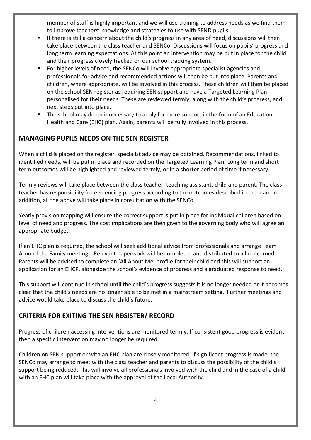member of staff is highly important and we will use training to address needs as we find them to improve teachers' knowledge and strategies to use with SEND pupils.

- If there is still a concern about the child's progress in any area of need, discussions will then take place between the class teacher and SENCo. Discussions will focus on pupils' progress and long term learning expectations. At this point an intervention may be put in place for the child and their progress closely tracked on our school tracking system.
- For higher levels of need, the SENCo will involve appropriate specialist agencies and professionals for advice and recommended actions will then be put into place. Parents and children, where appropriate, will be involved in this process. These children will then be placed on the school SEN register as requiring SEN support and have a Targeted Learning Plan personalised for their needs. These are reviewed termly, along with the child's progress, and next steps put into place.
- The school may deem it necessary to apply for more support in the form of an Education, Health and Care (EHC) plan. Again, parents will be fully involved in this process.

## **MANAGING PUPILS NEEDS ON THE SEN REGISTER**

When a child is placed on the register, specialist advice may be obtained. Recommendations, linked to identified needs, will be put in place and recorded on the Targeted Learning Plan. Long term and short term outcomes will be highlighted and reviewed termly, or in a shorter period of time if necessary.

Termly reviews will take place between the class teacher, teaching assistant, child and parent. The class teacher has responsibility for evidencing progress according to the outcomes described in the plan. In addition, all the above will take place in consultation with the SENCo.

Yearly provision mapping will ensure the correct support is put in place for individual children based on level of need and progress. The cost implications are then given to the governing body who will agree an appropriate budget.

If an EHC plan is required, the school will seek additional advice from professionals and arrange Team Around the Family meetings. Relevant paperwork will be completed and distributed to all concerned. Parents will be advised to complete an 'All About Me' profile for their child and this will support an application for an EHCP, alongside the school's evidence of progress and a graduated response to need.

This support will continue in school until the child's progress suggests it is no longer needed or it becomes clear that the child's needs are no longer able to be met in a mainstream setting. Further meetings and advice would take place to discuss the child's future.

#### **CRITERIA FOR EXITING THE SEN REGISTER/ RECORD**

Progress of children accessing interventions are monitored termly. If consistent good progress is evident, then a specific intervention may no longer be required.

Children on SEN support or with an EHC plan are closely monitored. If significant progress is made, the SENCo may arrange to meet with the class teacher and parents to discuss the possibility of the child's support being reduced. This will involve all professionals involved with the child and in the case of a child with an EHC plan will take place with the approval of the Local Authority.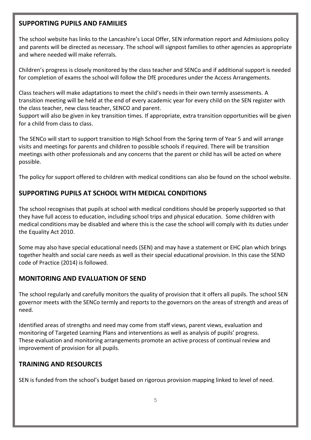#### **SUPPORTING PUPILS AND FAMILIES**

The school website has links to the Lancashire's Local Offer, SEN information report and Admissions policy and parents will be directed as necessary. The school will signpost families to other agencies as appropriate and where needed will make referrals.

Children's progress is closely monitored by the class teacher and SENCo and if additional support is needed for completion of exams the school will follow the DfE procedures under the Access Arrangements.

Class teachers will make adaptations to meet the child's needs in their own termly assessments. A transition meeting will be held at the end of every academic year for every child on the SEN register with the class teacher, new class teacher, SENCO and parent.

Support will also be given in key transition times. If appropriate, extra transition opportunities will be given for a child from class to class.

The SENCo will start to support transition to High School from the Spring term of Year 5 and will arrange visits and meetings for parents and children to possible schools if required. There will be transition meetings with other professionals and any concerns that the parent or child has will be acted on where possible.

The policy for support offered to children with medical conditions can also be found on the school website.

## **SUPPORTING PUPILS AT SCHOOL WITH MEDICAL CONDITIONS**

The school recognises that pupils at school with medical conditions should be properly supported so that they have full access to education, including school trips and physical education. Some children with medical conditions may be disabled and where this is the case the school will comply with its duties under the Equality Act 2010.

Some may also have special educational needs (SEN) and may have a statement or EHC plan which brings together health and social care needs as well as their special educational provision. In this case the SEND code of Practice (2014) is followed.

#### **MONITORING AND EVALUATION OF SEND**

The school regularly and carefully monitors the quality of provision that it offers all pupils. The school SEN governor meets with the SENCo termly and reports to the governors on the areas of strength and areas of need.

Identified areas of strengths and need may come from staff views, parent views, evaluation and monitoring of Targeted Learning Plans and interventions as well as analysis of pupils' progress. These evaluation and monitoring arrangements promote an active process of continual review and improvement of provision for all pupils.

#### **TRAINING AND RESOURCES**

SEN is funded from the school's budget based on rigorous provision mapping linked to level of need.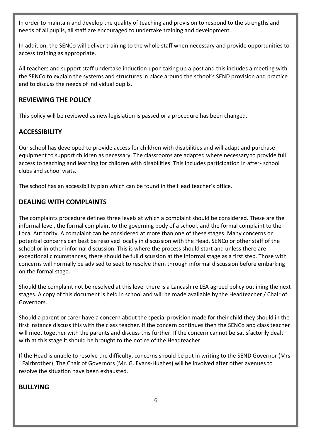In order to maintain and develop the quality of teaching and provision to respond to the strengths and needs of all pupils, all staff are encouraged to undertake training and development.

In addition, the SENCo will deliver training to the whole staff when necessary and provide opportunities to access training as appropriate.

All teachers and support staff undertake induction upon taking up a post and this includes a meeting with the SENCo to explain the systems and structures in place around the school's SEND provision and practice and to discuss the needs of individual pupils.

## **REVIEWING THE POLICY**

This policy will be reviewed as new legislation is passed or a procedure has been changed.

## **ACCESSIBILITY**

Our school has developed to provide access for children with disabilities and will adapt and purchase equipment to support children as necessary. The classrooms are adapted where necessary to provide full access to teaching and learning for children with disabilities. This includes participation in after- school clubs and school visits.

The school has an accessibility plan which can be found in the Head teacher's office.

## **DEALING WITH COMPLAINTS**

The complaints procedure defines three levels at which a complaint should be considered. These are the informal level, the formal complaint to the governing body of a school, and the formal complaint to the Local Authority. A complaint can be considered at more than one of these stages. Many concerns or potential concerns can best be resolved locally in discussion with the Head, SENCo or other staff of the school or in other informal discussion. This is where the process should start and unless there are exceptional circumstances, there should be full discussion at the informal stage as a first step. Those with concerns will normally be advised to seek to resolve them through informal discussion before embarking on the formal stage.

Should the complaint not be resolved at this level there is a Lancashire LEA agreed policy outlining the next stages. A copy of this document is held in school and will be made available by the Headteacher / Chair of Governors.

Should a parent or carer have a concern about the special provision made for their child they should in the first instance discuss this with the class teacher. If the concern continues then the SENCo and class teacher will meet together with the parents and discuss this further. If the concern cannot be satisfactorily dealt with at this stage it should be brought to the notice of the Headteacher.

If the Head is unable to resolve the difficulty, concerns should be put in writing to the SEND Governor (Mrs J Fairbrother). The Chair of Governors (Mr. G. Evans-Hughes) will be involved after other avenues to resolve the situation have been exhausted.

#### **BULLYING**